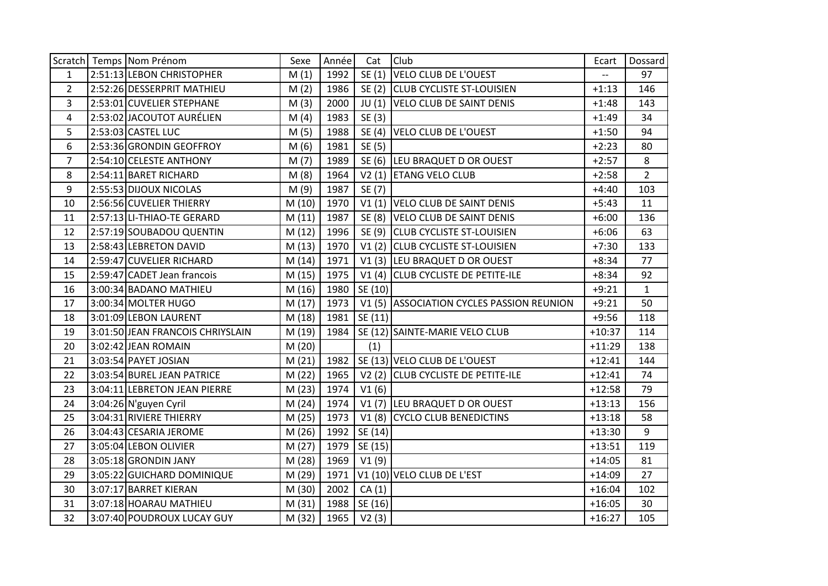|                | Scratch Temps Nom Prénom         | Sexe   | Année | Cat     | Club                                      | Ecart    | Dossard        |
|----------------|----------------------------------|--------|-------|---------|-------------------------------------------|----------|----------------|
| $\mathbf{1}$   | 2:51:13 LEBON CHRISTOPHER        | M(1)   | 1992  | SE(1)   | <b>VELO CLUB DE L'OUEST</b>               | $-$      | 97             |
| $\overline{2}$ | 2:52:26 DESSERPRIT MATHIEU       | M(2)   | 1986  |         | SE (2) CLUB CYCLISTE ST-LOUISIEN          | $+1:13$  | 146            |
| 3              | 2:53:01 CUVELIER STEPHANE        | M(3)   | 2000  |         | JU (1) VELO CLUB DE SAINT DENIS           | $+1:48$  | 143            |
| 4              | 2:53:02 JACOUTOT AURÉLIEN        | M(4)   | 1983  | SE(3)   |                                           | $+1:49$  | 34             |
| 5              | 2:53:03 CASTEL LUC               | M(5)   | 1988  |         | SE (4) VELO CLUB DE L'OUEST               | $+1:50$  | 94             |
| 6              | 2:53:36 GRONDIN GEOFFROY         | M(6)   | 1981  | SE (5)  |                                           | $+2:23$  | 80             |
| $\overline{7}$ | 2:54:10 CELESTE ANTHONY          | M(7)   | 1989  |         | SE (6) LEU BRAQUET D OR OUEST             | $+2:57$  | 8              |
| 8              | 2:54:11 BARET RICHARD            | M(8)   | 1964  |         | V2 (1) ETANG VELO CLUB                    | $+2:58$  | $\overline{2}$ |
| 9              | 2:55:53 DIJOUX NICOLAS           | M(9)   | 1987  | SE (7)  |                                           | $+4:40$  | 103            |
| 10             | 2:56:56 CUVELIER THIERRY         | M(10)  | 1970  |         | V1 (1) VELO CLUB DE SAINT DENIS           | $+5:43$  | 11             |
| 11             | 2:57:13 LI-THIAO-TE GERARD       | M(11)  | 1987  |         | SE (8) VELO CLUB DE SAINT DENIS           | $+6:00$  | 136            |
| 12             | 2:57:19 SOUBADOU QUENTIN         | M(12)  | 1996  |         | SE (9) CLUB CYCLISTE ST-LOUISIEN          | $+6:06$  | 63             |
| 13             | 2:58:43 LEBRETON DAVID           | M(13)  | 1970  |         | V1 (2) CLUB CYCLISTE ST-LOUISIEN          | $+7:30$  | 133            |
| 14             | 2:59:47 CUVELIER RICHARD         | M(14)  | 1971  |         | V1 (3) LEU BRAQUET D OR OUEST             | $+8:34$  | 77             |
| 15             | 2:59:47 CADET Jean francois      | M(15)  | 1975  |         | V1 (4) CLUB CYCLISTE DE PETITE-ILE        | $+8:34$  | 92             |
| 16             | 3:00:34 BADANO MATHIEU           | M(16)  | 1980  | SE (10) |                                           | $+9:21$  | $\mathbf{1}$   |
| 17             | 3:00:34 MOLTER HUGO              | M(17)  | 1973  |         | V1 (5) ASSOCIATION CYCLES PASSION REUNION | $+9:21$  | 50             |
| 18             | 3:01:09 LEBON LAURENT            | M(18)  | 1981  | SE (11) |                                           | $+9:56$  | 118            |
| 19             | 3:01:50 JEAN FRANCOIS CHRIYSLAIN | M (19) | 1984  |         | SE (12) SAINTE-MARIE VELO CLUB            | $+10:37$ | 114            |
| 20             | 3:02:42 JEAN ROMAIN              | M(20)  |       | (1)     |                                           | $+11:29$ | 138            |
| 21             | 3:03:54 PAYET JOSIAN             | M(21)  | 1982  |         | SE (13) VELO CLUB DE L'OUEST              | $+12:41$ | 144            |
| 22             | 3:03:54 BUREL JEAN PATRICE       | M(22)  | 1965  |         | V2 (2) CLUB CYCLISTE DE PETITE-ILE        | $+12:41$ | 74             |
| 23             | 3:04:11 LEBRETON JEAN PIERRE     | M(23)  | 1974  | V1(6)   |                                           | $+12:58$ | 79             |
| 24             | 3:04:26 N'guyen Cyril            | M(24)  | 1974  |         | V1 (7) LEU BRAQUET D OR OUEST             | $+13:13$ | 156            |
| 25             | 3:04:31 RIVIERE THIERRY          | M(25)  | 1973  |         | V1 (8) CYCLO CLUB BENEDICTINS             | $+13:18$ | 58             |
| 26             | 3:04:43 CESARIA JEROME           | M (26) | 1992  | SE (14) |                                           | $+13:30$ | 9              |
| 27             | 3:05:04 LEBON OLIVIER            | M(27)  | 1979  | SE (15) |                                           | $+13:51$ | 119            |
| 28             | 3:05:18 GRONDIN JANY             | M (28) | 1969  | V1(9)   |                                           | $+14:05$ | 81             |
| 29             | 3:05:22 GUICHARD DOMINIQUE       | M (29) | 1971  |         | V1 (10) VELO CLUB DE L'EST                | $+14:09$ | 27             |
| 30             | 3:07:17 BARRET KIERAN            | M (30) | 2002  | CA(1)   |                                           | $+16:04$ | 102            |
| 31             | 3:07:18 HOARAU MATHIEU           | M(31)  | 1988  | SE (16) |                                           | $+16:05$ | 30             |
| 32             | 3:07:40 POUDROUX LUCAY GUY       | M (32) | 1965  | V2(3)   |                                           | $+16:27$ | 105            |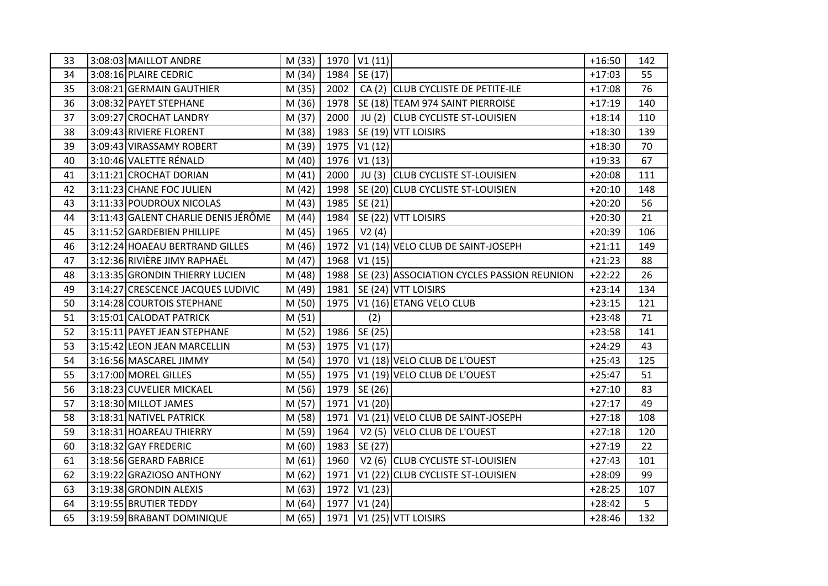| 33 | 3:08:03 MAILLOT ANDRE               | M (33) |      | 1970   V1 (11) |                                            | $+16:50$ | 142 |
|----|-------------------------------------|--------|------|----------------|--------------------------------------------|----------|-----|
| 34 | 3:08:16 PLAIRE CEDRIC               | M (34) |      | 1984   SE (17) |                                            | $+17:03$ | 55  |
| 35 | 3:08:21 GERMAIN GAUTHIER            | M (35) | 2002 |                | CA (2) CLUB CYCLISTE DE PETITE-ILE         | $+17:08$ | 76  |
| 36 | 3:08:32 PAYET STEPHANE              | M (36) | 1978 |                | SE (18) TEAM 974 SAINT PIERROISE           | $+17:19$ | 140 |
| 37 | 3:09:27 CROCHAT LANDRY              | M (37) | 2000 |                | JU (2) CLUB CYCLISTE ST-LOUISIEN           | $+18:14$ | 110 |
| 38 | 3:09:43 RIVIERE FLORENT             | M (38) | 1983 |                | SE (19) VTT LOISIRS                        | $+18:30$ | 139 |
| 39 | 3:09:43 VIRASSAMY ROBERT            | M (39) | 1975 | VI(12)         |                                            | $+18:30$ | 70  |
| 40 | 3:10:46 VALETTE RÉNALD              | M (40) | 1976 | V1(13)         |                                            | $+19:33$ | 67  |
| 41 | 3:11:21 CROCHAT DORIAN              | M(41)  | 2000 |                | JU (3) CLUB CYCLISTE ST-LOUISIEN           | $+20:08$ | 111 |
| 42 | 3:11:23 CHANE FOC JULIEN            | M (42) | 1998 |                | SE (20) CLUB CYCLISTE ST-LOUISIEN          | $+20:10$ | 148 |
| 43 | 3:11:33 POUDROUX NICOLAS            | M (43) | 1985 | SE (21)        |                                            | $+20:20$ | 56  |
| 44 | 3:11:43 GALENT CHARLIE DENIS JÉRÔME | M (44) | 1984 |                | SE (22) VTT LOISIRS                        | $+20:30$ | 21  |
| 45 | 3:11:52 GARDEBIEN PHILLIPE          | M (45) | 1965 | V2(4)          |                                            | $+20:39$ | 106 |
| 46 | 3:12:24 HOAEAU BERTRAND GILLES      | M (46) | 1972 |                | V1 (14) VELO CLUB DE SAINT-JOSEPH          | $+21:11$ | 149 |
| 47 | 3:12:36 RIVIÈRE JIMY RAPHAËL        | M (47) | 1968 | VI(15)         |                                            | $+21:23$ | 88  |
| 48 | 3:13:35 GRONDIN THIERRY LUCIEN      | M (48) | 1988 |                | SE (23) ASSOCIATION CYCLES PASSION REUNION | $+22:22$ | 26  |
| 49 | 3:14:27 CRESCENCE JACQUES LUDIVIC   | M (49) | 1981 |                | SE (24) VTT LOISIRS                        | $+23:14$ | 134 |
| 50 | 3:14:28 COURTOIS STEPHANE           | M (50) | 1975 |                | V1 (16) ETANG VELO CLUB                    | $+23:15$ | 121 |
| 51 | 3:15:01 CALODAT PATRICK             | M(51)  |      | (2)            |                                            | $+23:48$ | 71  |
| 52 | 3:15:11 PAYET JEAN STEPHANE         | M (52) | 1986 | SE(25)         |                                            | $+23:58$ | 141 |
| 53 | 3:15:42 LEON JEAN MARCELLIN         | M (53) |      | 1975 V1 (17)   |                                            | $+24:29$ | 43  |
| 54 | 3:16:56 MASCAREL JIMMY              | M (54) | 1970 |                | V1 (18) VELO CLUB DE L'OUEST               | $+25:43$ | 125 |
| 55 | 3:17:00 MOREL GILLES                | M (55) | 1975 |                | V1 (19) VELO CLUB DE L'OUEST               | $+25:47$ | 51  |
| 56 | 3:18:23 CUVELIER MICKAEL            | M (56) | 1979 | SE (26)        |                                            | $+27:10$ | 83  |
| 57 | 3:18:30 MILLOT JAMES                | M (57) | 1971 | V1(20)         |                                            | $+27:17$ | 49  |
| 58 | 3:18:31 NATIVEL PATRICK             | M (58) | 1971 |                | V1 (21) VELO CLUB DE SAINT-JOSEPH          | $+27:18$ | 108 |
| 59 | 3:18:31 HOAREAU THIERRY             | M (59) | 1964 |                | V <sub>2</sub> (5) VELO CLUB DE L'OUEST    | $+27:18$ | 120 |
| 60 | $3:18:32$ GAY FREDERIC              | M(60)  | 1983 | SE (27)        |                                            | $+27:19$ | 22  |
| 61 | 3:18:56 GERARD FABRICE              | M(61)  | 1960 |                | V2 (6) CLUB CYCLISTE ST-LOUISIEN           | $+27:43$ | 101 |
| 62 | 3:19:22 GRAZIOSO ANTHONY            | M(62)  | 1971 |                | V1 (22) CLUB CYCLISTE ST-LOUISIEN          | $+28:09$ | 99  |
| 63 | 3:19:38 GRONDIN ALEXIS              | M (63) | 1972 | V1(23)         |                                            | $+28:25$ | 107 |
| 64 | 3:19:55 BRUTIER TEDDY               | M (64) | 1977 | V1(24)         |                                            | $+28:42$ | 5   |
| 65 | 3:19:59 BRABANT DOMINIQUE           | M (65) |      |                | 1971   V1 (25) VTT LOISIRS                 | $+28:46$ | 132 |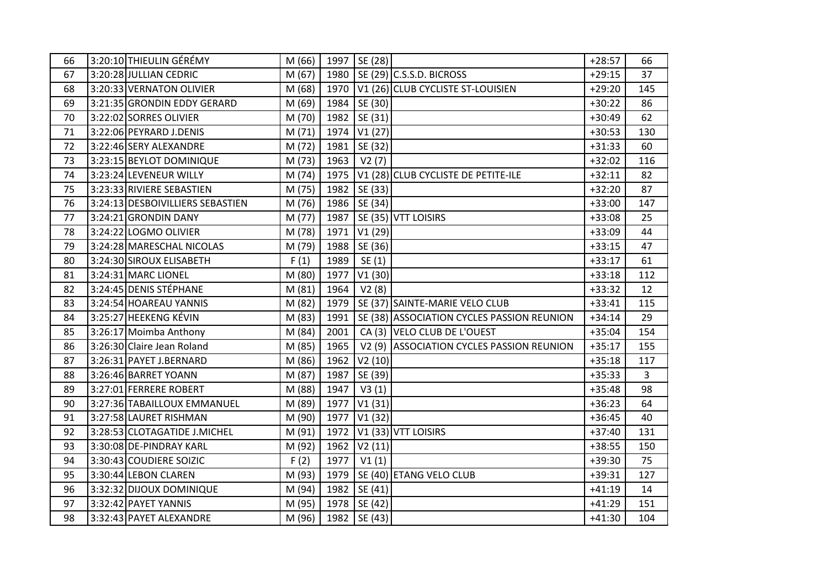| 66 | 3:20:10 THIEULIN GÉRÉMY          | M (66) |      | 1997   SE (28)      |                                            | $+28:57$ | 66             |
|----|----------------------------------|--------|------|---------------------|--------------------------------------------|----------|----------------|
| 67 | 3:20:28 JULLIAN CEDRIC           | M(67)  | 1980 |                     | $SE(29)$ C.S.S.D. BICROSS                  | $+29:15$ | 37             |
| 68 | 3:20:33 VERNATON OLIVIER         | M (68) | 1970 |                     | V1 (26) CLUB CYCLISTE ST-LOUISIEN          | $+29:20$ | 145            |
| 69 | 3:21:35 GRONDIN EDDY GERARD      | M (69) | 1984 | SE (30)             |                                            | $+30:22$ | 86             |
| 70 | 3:22:02 SORRES OLIVIER           | M (70) | 1982 | SE (31)             |                                            | $+30:49$ | 62             |
| 71 | 3:22:06 PEYRARD J.DENIS          | M(71)  | 1974 | V1(27)              |                                            | $+30:53$ | 130            |
| 72 | 3:22:46 SERY ALEXANDRE           | M (72) | 1981 | SE (32)             |                                            | $+31:33$ | 60             |
| 73 | 3:23:15 BEYLOT DOMINIQUE         | M (73) | 1963 | V2(7)               |                                            | $+32:02$ | 116            |
| 74 | 3:23:24 LEVENEUR WILLY           | M (74) | 1975 |                     | V1 (28) CLUB CYCLISTE DE PETITE-ILE        | $+32:11$ | 82             |
| 75 | 3:23:33 RIVIERE SEBASTIEN        | M (75) | 1982 | SE (33)             |                                            | $+32:20$ | 87             |
| 76 | 3:24:13 DESBOIVILLIERS SEBASTIEN | M (76) | 1986 | SE (34)             |                                            | $+33:00$ | 147            |
| 77 | 3:24:21 GRONDIN DANY             | M (77) | 1987 |                     | SE (35) VTT LOISIRS                        | $+33:08$ | 25             |
| 78 | 3:24:22 LOGMO OLIVIER            | M (78) | 1971 | V1(29)              |                                            | $+33:09$ | 44             |
| 79 | 3:24:28 MARESCHAL NICOLAS        | M (79) | 1988 | SE (36)             |                                            | $+33:15$ | 47             |
| 80 | 3:24:30 SIROUX ELISABETH         | F(1)   | 1989 | SE(1)               |                                            | $+33:17$ | 61             |
| 81 | 3:24:31 MARC LIONEL              | M (80) | 1977 | V1(30)              |                                            | $+33:18$ | 112            |
| 82 | 3:24:45 DENIS STÉPHANE           | M(81)  | 1964 | V2(8)               |                                            | $+33:32$ | 12             |
| 83 | 3:24:54 HOAREAU YANNIS           | M (82) | 1979 |                     | SE (37) SAINTE-MARIE VELO CLUB             | $+33:41$ | 115            |
| 84 | 3:25:27 HEEKENG KÉVIN            | M (83) | 1991 |                     | SE (38) ASSOCIATION CYCLES PASSION REUNION | $+34:14$ | 29             |
| 85 | 3:26:17 Moimba Anthony           | M (84) | 2001 |                     | CA (3) VELO CLUB DE L'OUEST                | $+35:04$ | 154            |
| 86 | 3:26:30 Claire Jean Roland       | M (85) | 1965 |                     | V2 (9) ASSOCIATION CYCLES PASSION REUNION  | $+35:17$ | 155            |
| 87 | 3:26:31 PAYET J.BERNARD          | M (86) | 1962 | V2(10)              |                                            | $+35:18$ | 117            |
| 88 | 3:26:46 BARRET YOANN             | M (87) | 1987 | SE (39)             |                                            | $+35:33$ | $\overline{3}$ |
| 89 | 3:27:01 FERRERE ROBERT           | M (88) | 1947 | V3(1)               |                                            | $+35:48$ | 98             |
| 90 | 3:27:36 TABAILLOUX EMMANUEL      | M (89) | 1977 | V <sub>1</sub> (31) |                                            | $+36:23$ | 64             |
| 91 | 3:27:58 LAURET RISHMAN           | M (90) | 1977 | V1(32)              |                                            | $+36:45$ | 40             |
| 92 | 3:28:53 CLOTAGATIDE J.MICHEL     | M (91) | 1972 |                     | V1 (33) VTT LOISIRS                        | $+37:40$ | 131            |
| 93 | 3:30:08 DE-PINDRAY KARL          | M (92) | 1962 | V2(11)              |                                            | $+38:55$ | 150            |
| 94 | 3:30:43 COUDIERE SOIZIC          | F(2)   | 1977 | V1(1)               |                                            | $+39:30$ | 75             |
| 95 | 3:30:44 LEBON CLAREN             | M (93) | 1979 |                     | SE (40) ETANG VELO CLUB                    | $+39:31$ | 127            |
| 96 | 3:32:32 DIJOUX DOMINIQUE         | M (94) | 1982 | SE (41)             |                                            | $+41:19$ | 14             |
| 97 | 3:32:42 PAYET YANNIS             | M (95) | 1978 | SE(42)              |                                            | $+41:29$ | 151            |
| 98 | 3:32:43 PAYET ALEXANDRE          | M (96) |      | 1982   SE (43)      |                                            | $+41:30$ | 104            |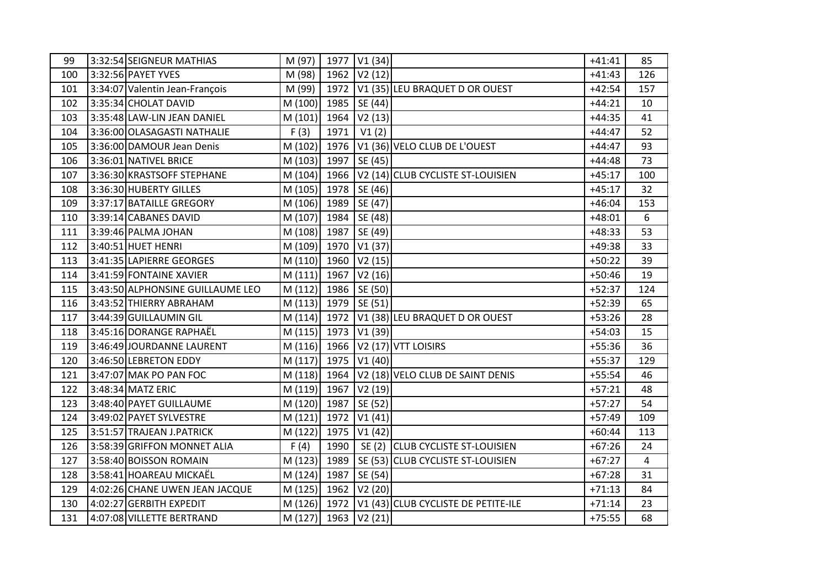| 99  | 3:32:54 SEIGNEUR MATHIAS         | M (97)  |      | 1977 V1 (34) |                                     | $+41:41$ | 85             |
|-----|----------------------------------|---------|------|--------------|-------------------------------------|----------|----------------|
| 100 | 3:32:56 PAYET YVES               | M (98)  | 1962 | V2(12)       |                                     | $+41:43$ | 126            |
| 101 | 3:34:07 Valentin Jean-François   | M (99)  | 1972 |              | V1 (35) LEU BRAQUET D OR OUEST      | $+42:54$ | 157            |
| 102 | 3:35:34 CHOLAT DAVID             | M (100) | 1985 | SE (44)      |                                     | $+44:21$ | 10             |
| 103 | 3:35:48 LAW-LIN JEAN DANIEL      | M (101) | 1964 | V2(13)       |                                     | $+44:35$ | 41             |
| 104 | 3:36:00 OLASAGASTI NATHALIE      | F(3)    | 1971 | V1(2)        |                                     | $+44:47$ | 52             |
| 105 | 3:36:00 DAMOUR Jean Denis        | M (102) | 1976 |              | V1 (36) VELO CLUB DE L'OUEST        | $+44:47$ | 93             |
| 106 | 3:36:01 NATIVEL BRICE            | M (103) | 1997 | SE (45)      |                                     | $+44:48$ | 73             |
| 107 | 3:36:30 KRASTSOFF STEPHANE       | M (104) | 1966 |              | V2 (14) CLUB CYCLISTE ST-LOUISIEN   | $+45:17$ | 100            |
| 108 | 3:36:30 HUBERTY GILLES           | M(105)  | 1978 | SE (46)      |                                     | $+45:17$ | 32             |
| 109 | 3:37:17 BATAILLE GREGORY         | M(106)  | 1989 | SE (47)      |                                     | $+46:04$ | 153            |
| 110 | 3:39:14 CABANES DAVID            | M (107) | 1984 | SE (48)      |                                     | $+48:01$ | 6              |
| 111 | 3:39:46 PALMA JOHAN              | M (108) | 1987 | SE (49)      |                                     | $+48:33$ | 53             |
| 112 | 3:40:51 HUET HENRI               | M(109)  | 1970 | V1(37)       |                                     | $+49:38$ | 33             |
| 113 | 3:41:35 LAPIERRE GEORGES         | M(110)  | 1960 | V2(15)       |                                     | $+50:22$ | 39             |
| 114 | 3:41:59 FONTAINE XAVIER          | M(111)  | 1967 | V2(16)       |                                     | $+50:46$ | 19             |
| 115 | 3:43:50 ALPHONSINE GUILLAUME LEO | M(112)  | 1986 | SE (50)      |                                     | $+52:37$ | 124            |
| 116 | 3:43:52 THIERRY ABRAHAM          | M(113)  | 1979 | SE (51)      |                                     | $+52:39$ | 65             |
| 117 | 3:44:39 GUILLAUMIN GIL           | M(114)  | 1972 |              | V1 (38) LEU BRAQUET D OR OUEST      | $+53:26$ | 28             |
| 118 | 3:45:16 DORANGE RAPHAËL          | M(115)  | 1973 | V1(39)       |                                     | $+54:03$ | 15             |
| 119 | 3:46:49 JOURDANNE LAURENT        | M(116)  | 1966 |              | V <sub>2</sub> (17) VTT LOISIRS     | $+55:36$ | 36             |
| 120 | 3:46:50 LEBRETON EDDY            | M(117)  | 1975 | V1(40)       |                                     | $+55:37$ | 129            |
| 121 | 3:47:07 MAK PO PAN FOC           | M (118) | 1964 |              | V2 (18) VELO CLUB DE SAINT DENIS    | $+55:54$ | 46             |
| 122 | 3:48:34 MATZ ERIC                | M (119) | 1967 | V2(19)       |                                     | $+57:21$ | 48             |
| 123 | 3:48:40 PAYET GUILLAUME          | M (120) | 1987 | SE (52)      |                                     | $+57:27$ | 54             |
| 124 | 3:49:02 PAYET SYLVESTRE          | M(121)  | 1972 | V1(41)       |                                     | $+57:49$ | 109            |
| 125 | 3:51:57 TRAJEAN J.PATRICK        | M (122) | 1975 | V1(42)       |                                     | $+60:44$ | 113            |
| 126 | 3:58:39 GRIFFON MONNET ALIA      | F(4)    | 1990 |              | SE (2) CLUB CYCLISTE ST-LOUISIEN    | $+67:26$ | 24             |
| 127 | 3:58:40 BOISSON ROMAIN           | M (123) | 1989 |              | SE (53) CLUB CYCLISTE ST-LOUISIEN   | $+67:27$ | $\overline{4}$ |
| 128 | 3:58:41 HOAREAU MICKAEL          | M (124) | 1987 | SE (54)      |                                     | $+67:28$ | 31             |
| 129 | 4:02:26 CHANE UWEN JEAN JACQUE   | M(125)  | 1962 | V2(20)       |                                     | $+71:13$ | 84             |
| 130 | 4:02:27 GERBITH EXPEDIT          | M(126)  | 1972 |              | V1 (43) CLUB CYCLISTE DE PETITE-ILE | $+71:14$ | 23             |
| 131 | 4:07:08 VILLETTE BERTRAND        | M(127)  |      | 1963 V2 (21) |                                     | $+75:55$ | 68             |